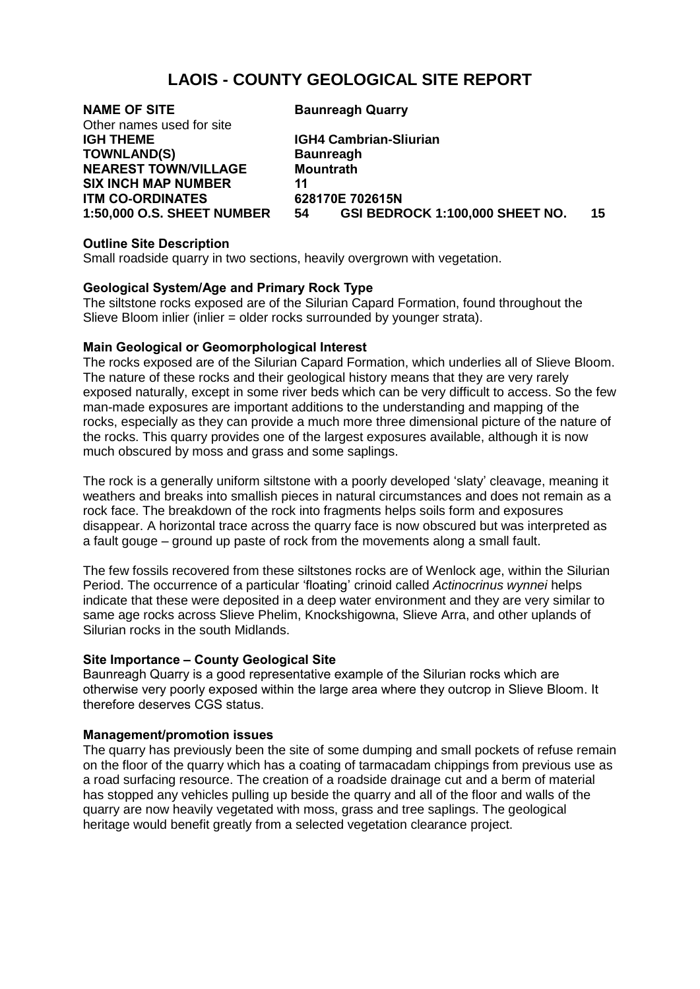# **LAOIS - COUNTY GEOLOGICAL SITE REPORT**

**NAME OF SITE Baunreagh Quarry** Other names used for site **IGH THEME IGH4 Cambrian-Sliurian TOWNLAND(S) Baunreagh NEAREST TOWN/VILLAGE Mountrath SIX INCH MAP NUMBER 11 ITM CO-ORDINATES 628170E 702615N**

**1:50,000 O.S. SHEET NUMBER 54 GSI BEDROCK 1:100,000 SHEET NO. 15**

## **Outline Site Description**

Small roadside quarry in two sections, heavily overgrown with vegetation.

## **Geological System/Age and Primary Rock Type**

The siltstone rocks exposed are of the Silurian Capard Formation, found throughout the Slieve Bloom inlier (inlier = older rocks surrounded by younger strata).

## **Main Geological or Geomorphological Interest**

The rocks exposed are of the Silurian Capard Formation, which underlies all of Slieve Bloom. The nature of these rocks and their geological history means that they are very rarely exposed naturally, except in some river beds which can be very difficult to access. So the few man-made exposures are important additions to the understanding and mapping of the rocks, especially as they can provide a much more three dimensional picture of the nature of the rocks. This quarry provides one of the largest exposures available, although it is now much obscured by moss and grass and some saplings.

The rock is a generally uniform siltstone with a poorly developed 'slaty' cleavage, meaning it weathers and breaks into smallish pieces in natural circumstances and does not remain as a rock face. The breakdown of the rock into fragments helps soils form and exposures disappear. A horizontal trace across the quarry face is now obscured but was interpreted as a fault gouge – ground up paste of rock from the movements along a small fault.

The few fossils recovered from these siltstones rocks are of Wenlock age, within the Silurian Period. The occurrence of a particular 'floating' crinoid called *Actinocrinus wynnei* helps indicate that these were deposited in a deep water environment and they are very similar to same age rocks across Slieve Phelim, Knockshigowna, Slieve Arra, and other uplands of Silurian rocks in the south Midlands.

## **Site Importance – County Geological Site**

Baunreagh Quarry is a good representative example of the Silurian rocks which are otherwise very poorly exposed within the large area where they outcrop in Slieve Bloom. It therefore deserves CGS status.

## **Management/promotion issues**

The quarry has previously been the site of some dumping and small pockets of refuse remain on the floor of the quarry which has a coating of tarmacadam chippings from previous use as a road surfacing resource. The creation of a roadside drainage cut and a berm of material has stopped any vehicles pulling up beside the quarry and all of the floor and walls of the quarry are now heavily vegetated with moss, grass and tree saplings. The geological heritage would benefit greatly from a selected vegetation clearance project.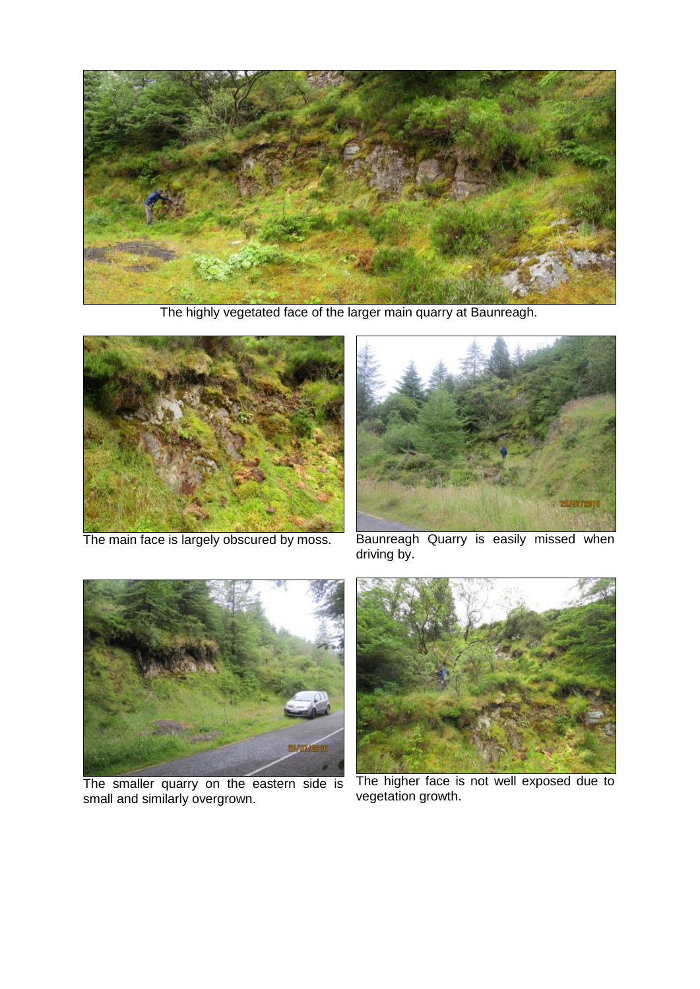

The highly vegetated face of the larger main quarry at Baunreagh.



The main face is largely obscured by moss.



Baunreagh Quarry is easily missed when driving by.



The smaller quarry on the eastern side is small and similarly overgrown.



The higher face is not well exposed due to vegetation growth.